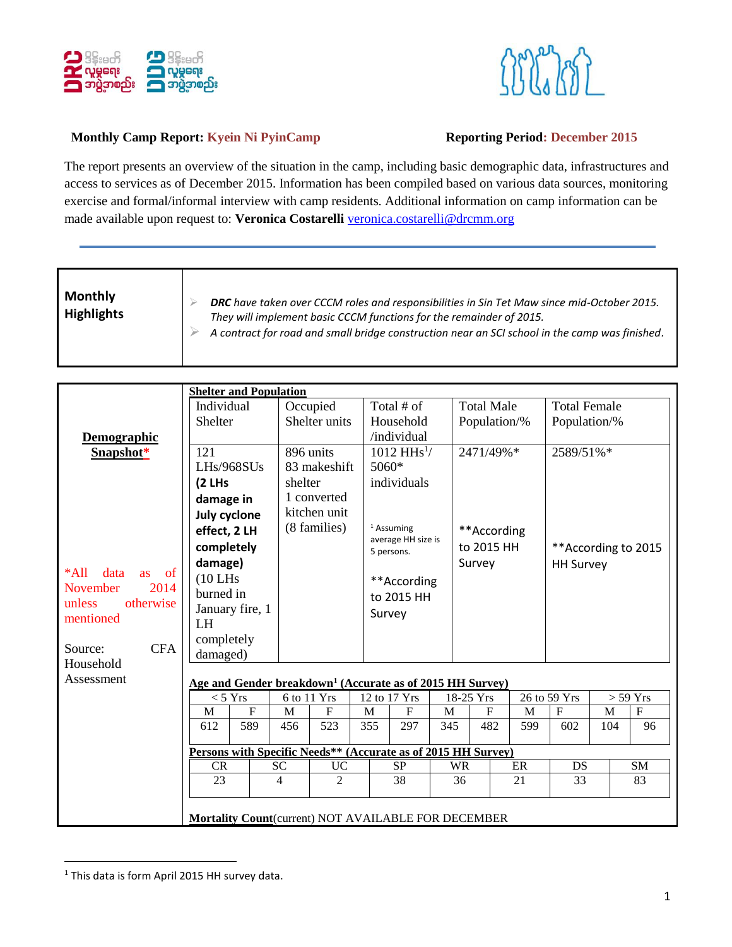



## **Monthly Camp Report: Kyein Ni PyinCamp Reporting Period: December 2015**

The report presents an overview of the situation in the camp, including basic demographic data, infrastructures and access to services as of December 2015. Information has been compiled based on various data sources, monitoring exercise and formal/informal interview with camp residents. Additional information on camp information can be made available upon request to: Veronica Costarelli [veronica.costarelli@drcmm.org](mailto:veronica.costarelli@drcmm.org)

| <b>Monthly</b><br><b>Highlights</b> | DRC have taken over CCCM roles and responsibilities in Sin Tet Maw since mid-October 2015.<br>They will implement basic CCCM functions for the remainder of 2015.<br>A contract for road and small bridge construction near an SCI school in the camp was finished. |
|-------------------------------------|---------------------------------------------------------------------------------------------------------------------------------------------------------------------------------------------------------------------------------------------------------------------|
|-------------------------------------|---------------------------------------------------------------------------------------------------------------------------------------------------------------------------------------------------------------------------------------------------------------------|

|                                                               | <b>Shelter and Population</b>                                         |           |                |     |                                  |                                          |           |            |                   |              |                      |            |             |
|---------------------------------------------------------------|-----------------------------------------------------------------------|-----------|----------------|-----|----------------------------------|------------------------------------------|-----------|------------|-------------------|--------------|----------------------|------------|-------------|
|                                                               | Individual                                                            |           | Occupied       |     |                                  | Total $#$ of                             |           |            | <b>Total Male</b> |              | <b>Total Female</b>  |            |             |
|                                                               | <b>Shelter</b>                                                        |           | Shelter units  |     |                                  | Household                                |           |            | Population/%      |              | Population/%         |            |             |
| Demographic                                                   |                                                                       |           |                |     |                                  | /individual                              |           |            |                   |              |                      |            |             |
| Snapshot*                                                     | 121                                                                   |           | 896 units      |     |                                  | $1012 \text{ H} \text{H} \text{s}^{1}$ / |           |            | 2471/49%*         |              | 2589/51%*            |            |             |
|                                                               | $L$ Hs/968SUs                                                         |           | 83 makeshift   |     | 5060*                            |                                          |           |            |                   |              |                      |            |             |
|                                                               | (2 LHs                                                                | shelter   |                |     |                                  | individuals                              |           |            |                   |              |                      |            |             |
|                                                               | damage in                                                             |           | 1 converted    |     |                                  |                                          |           |            |                   |              |                      |            |             |
|                                                               | July cyclone                                                          |           | kitchen unit   |     |                                  |                                          |           |            |                   |              |                      |            |             |
|                                                               | effect, 2 LH                                                          |           | (8 families)   |     |                                  | <sup>1</sup> Assuming                    |           |            | **According       |              |                      |            |             |
|                                                               | completely                                                            |           |                |     | average HH size is<br>5 persons. |                                          |           | to 2015 HH |                   |              | ** According to 2015 |            |             |
|                                                               | damage)                                                               |           |                |     |                                  |                                          |           |            | Survey            |              | <b>HH Survey</b>     |            |             |
| $*All$<br>data<br><b>as</b><br><sub>of</sub>                  | $(10$ LHs                                                             |           |                |     | **According                      |                                          |           |            |                   |              |                      |            |             |
| 2014<br>November                                              | burned in                                                             |           |                |     | to 2015 HH<br>Survey             |                                          |           |            |                   |              |                      |            |             |
| unless<br>otherwise                                           | January fire, 1                                                       |           |                |     |                                  |                                          |           |            |                   |              |                      |            |             |
| mentioned                                                     | <b>LH</b>                                                             |           |                |     |                                  |                                          |           |            |                   |              |                      |            |             |
|                                                               | completely                                                            |           |                |     |                                  |                                          |           |            |                   |              |                      |            |             |
| <b>CFA</b><br>Source:                                         | damaged)                                                              |           |                |     |                                  |                                          |           |            |                   |              |                      |            |             |
| Household                                                     | Age and Gender breakdown <sup>1</sup> (Accurate as of 2015 HH Survey) |           |                |     |                                  |                                          |           |            |                   |              |                      |            |             |
| Assessment                                                    |                                                                       |           |                |     |                                  |                                          |           |            |                   |              |                      |            |             |
|                                                               | $<$ 5 Yrs                                                             |           | 6 to 11 Yrs    |     | 12 to 17 Yrs                     |                                          | 18-25 Yrs |            |                   | 26 to 59 Yrs |                      | $>$ 59 Yrs |             |
|                                                               | $\overline{F}$<br>M                                                   | M         | F              | M   |                                  | ${\bf F}$                                | M         |            | $\mathbf{F}$      | M            | $\mathbf F$          | M          | $\mathbf F$ |
|                                                               | 612<br>589                                                            | 456       | 523            | 355 |                                  | 297                                      | 345       |            | 482               | 599          | 602                  | 104        | 96          |
| Persons with Specific Needs** (Accurate as of 2015 HH Survey) |                                                                       |           |                |     |                                  |                                          |           |            |                   |              |                      |            |             |
|                                                               | <b>CR</b>                                                             | <b>SC</b> | UC             |     | <b>SP</b>                        |                                          | <b>WR</b> |            |                   | ER           | <b>DS</b>            |            | SM          |
|                                                               | 23                                                                    | 4         | $\overline{2}$ |     |                                  | 38                                       |           | 36         |                   | 21           | 33                   |            | 83          |
|                                                               |                                                                       |           |                |     |                                  |                                          |           |            |                   |              |                      |            |             |
|                                                               | Mortality Count(current) NOT AVAILABLE FOR DECEMBER                   |           |                |     |                                  |                                          |           |            |                   |              |                      |            |             |
|                                                               |                                                                       |           |                |     |                                  |                                          |           |            |                   |              |                      |            |             |

<sup>&</sup>lt;sup>1</sup> This data is form April 2015 HH survey data.

 $\overline{a}$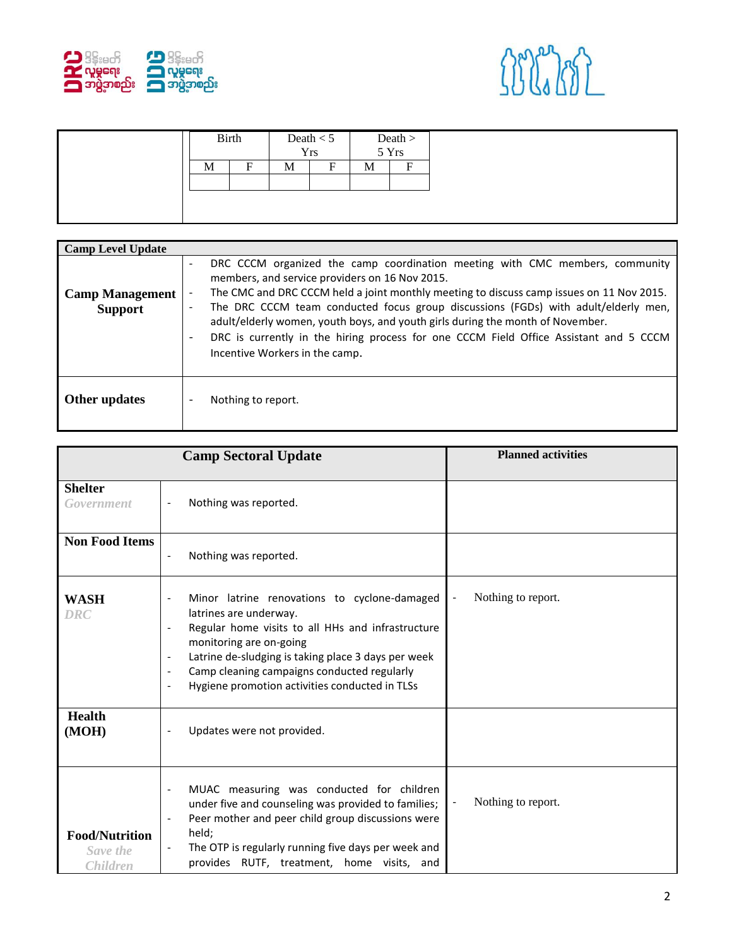



| <b>Camp Level Update</b>                 |                                                                                                                                                                                                                                                                                                                                                                                                                                                                                                                                                                                                                   |
|------------------------------------------|-------------------------------------------------------------------------------------------------------------------------------------------------------------------------------------------------------------------------------------------------------------------------------------------------------------------------------------------------------------------------------------------------------------------------------------------------------------------------------------------------------------------------------------------------------------------------------------------------------------------|
| <b>Camp Management</b><br><b>Support</b> | DRC CCCM organized the camp coordination meeting with CMC members, community<br>$\overline{\phantom{a}}$<br>members, and service providers on 16 Nov 2015.<br>The CMC and DRC CCCM held a joint monthly meeting to discuss camp issues on 11 Nov 2015.<br>$\overline{\phantom{a}}$<br>The DRC CCCM team conducted focus group discussions (FGDs) with adult/elderly men,<br>$\overline{\phantom{a}}$<br>adult/elderly women, youth boys, and youth girls during the month of November.<br>DRC is currently in the hiring process for one CCCM Field Office Assistant and 5 CCCM<br>Incentive Workers in the camp. |
| Other updates                            | Nothing to report.                                                                                                                                                                                                                                                                                                                                                                                                                                                                                                                                                                                                |

|                                                      | <b>Camp Sectoral Update</b>                                                                                                                                                                                                                                                                                                                                                              | <b>Planned activities</b>                      |  |  |  |
|------------------------------------------------------|------------------------------------------------------------------------------------------------------------------------------------------------------------------------------------------------------------------------------------------------------------------------------------------------------------------------------------------------------------------------------------------|------------------------------------------------|--|--|--|
| <b>Shelter</b><br>Government                         | Nothing was reported.<br>$\overline{\phantom{a}}$                                                                                                                                                                                                                                                                                                                                        |                                                |  |  |  |
| <b>Non Food Items</b>                                | Nothing was reported.                                                                                                                                                                                                                                                                                                                                                                    |                                                |  |  |  |
| <b>WASH</b><br><b>DRC</b>                            | Minor latrine renovations to cyclone-damaged<br>latrines are underway.<br>Regular home visits to all HHs and infrastructure<br>monitoring are on-going<br>Latrine de-sludging is taking place 3 days per week<br>$\overline{\phantom{a}}$<br>Camp cleaning campaigns conducted regularly<br>$\blacksquare$<br>Hygiene promotion activities conducted in TLSs<br>$\overline{\phantom{a}}$ | Nothing to report.<br>$\overline{\phantom{0}}$ |  |  |  |
| <b>Health</b><br>(MOH)                               | Updates were not provided.                                                                                                                                                                                                                                                                                                                                                               |                                                |  |  |  |
| <b>Food/Nutrition</b><br>Save the<br><b>Children</b> | MUAC measuring was conducted for children<br>$\overline{\phantom{a}}$<br>under five and counseling was provided to families;<br>Peer mother and peer child group discussions were<br>held;<br>The OTP is regularly running five days per week and<br>provides RUTF, treatment, home visits, and                                                                                          | Nothing to report.                             |  |  |  |